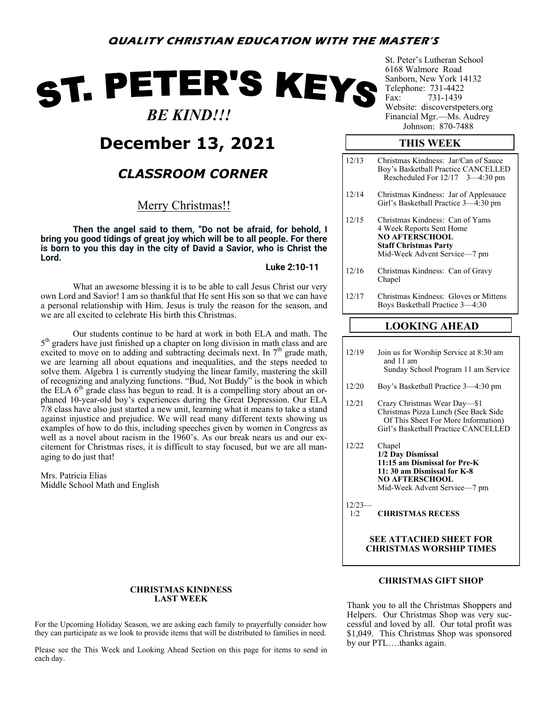# ST. PETER'S KEYS

 *BE KIND!!!*

# **December 13, 2021**

## *CLASSROOM CORNER*

Merry Christmas!!

**Then the angel said to them, "Do not be afraid, for behold, I bring you good tidings of great joy which will be to all people. For there is born to you this day in the city of David a Savior, who is Christ the Lord.**

**Luke 2:10-11**

What an awesome blessing it is to be able to call Jesus Christ our very own Lord and Savior! I am so thankful that He sent His son so that we can have a personal relationship with Him. Jesus is truly the reason for the season, and we are all excited to celebrate His birth this Christmas.

Our students continue to be hard at work in both ELA and math. The 5<sup>th</sup> graders have just finished up a chapter on long division in math class and are excited to move on to adding and subtracting decimals next. In  $7<sup>th</sup>$  grade math, we are learning all about equations and inequalities, and the steps needed to solve them. Algebra 1 is currently studying the linear family, mastering the skill of recognizing and analyzing functions. "Bud, Not Buddy" is the book in which the ELA  $6<sup>th</sup>$  grade class has begun to read. It is a compelling story about an orphaned 10-year-old boy's experiences during the Great Depression. Our ELA 7/8 class have also just started a new unit, learning what it means to take a stand against injustice and prejudice. We will read many different texts showing us examples of how to do this, including speeches given by women in Congress as well as a novel about racism in the 1960's. As our break nears us and our excitement for Christmas rises, it is difficult to stay focused, but we are all managing to do just that!

Mrs. Patricia Elias Middle School Math and English

#### **CHRISTMAS KINDNESS LAST WEEK**

For the Upcoming Holiday Season, we are asking each family to prayerfully consider how they can participate as we look to provide items that will be distributed to families in need.

Please see the This Week and Looking Ahead Section on this page for items to send in each day.

St. Peter's Lutheran School 6168 Walmore Road Sanborn, New York 14132 Telephone: 731-4422<br>Fax: 731-1439 731-1439 Website: discoverstpeters.org Financial Mgr.—Ms. Audrey Johnson: 870-7488

#### **THIS WEEK**

|       | .                                                                                                                                                    |
|-------|------------------------------------------------------------------------------------------------------------------------------------------------------|
| 12/17 | Christmas Kindness: Gloves or Mittens<br>Boys Basketball Practice 3–4:30                                                                             |
| 12/16 | Christmas Kindness: Can of Gravy<br>Chapel                                                                                                           |
| 12/15 | Christmas Kindness: Can of Yams<br>4 Week Reports Sent Home<br><b>NO AFTERSCHOOL</b><br><b>Staff Christmas Party</b><br>Mid-Week Advent Service-7 pm |
| 12/14 | Christmas Kindness: Jar of Applesauce<br>Girl's Basketball Practice 3–4:30 pm                                                                        |
| 12/13 | Christmas Kindness: Jar/Can of Sauce<br>Boy's Basketball Practice CANCELLED<br>Rescheduled For $12/17$ 3-4:30 pm                                     |
|       |                                                                                                                                                      |

#### **LOOKING AHEAD**

- 12/19 Join us for Worship Service at 8:30 am and 11 am Sunday School Program 11 am Service
- 12/20 Boy's Basketball Practice 3—4:30 pm
- 12/21 Crazy Christmas Wear Day—\$1 Christmas Pizza Lunch (See Back Side Of This Sheet For More Information) Girl's Basketball Practice CANCELLED
- 12/22 Chapel **1/2 Day Dismissal 11:15 am Dismissal for Pre-K 11: 30 am Dismissal for K-8 NO AFTERSCHOOL** Mid-Week Advent Service—7 pm

12/23— 1/2 **CHRISTMAS RECESS**

> **SEE ATTACHED SHEET FOR CHRISTMAS WORSHIP TIMES**

#### **CHRISTMAS GIFT SHOP**

Thank you to all the Christmas Shoppers and Helpers. Our Christmas Shop was very successful and loved by all. Our total profit was \$1,049. This Christmas Shop was sponsored by our PTL….thanks again.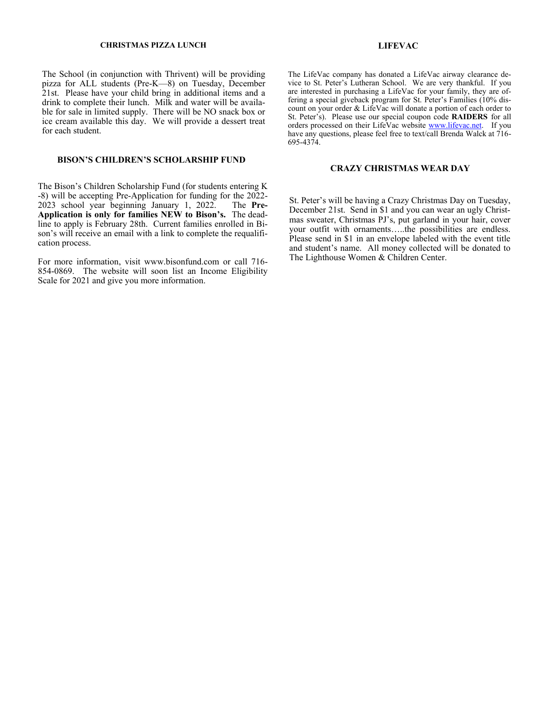#### **CHRISTMAS PIZZA LUNCH LIFEVAC**

The School (in conjunction with Thrivent) will be providing pizza for ALL students (Pre-K—8) on Tuesday, December 21st. Please have your child bring in additional items and a drink to complete their lunch. Milk and water will be available for sale in limited supply. There will be NO snack box or ice cream available this day. We will provide a dessert treat for each student.

#### **BISON'S CHILDREN'S SCHOLARSHIP FUND**

The Bison's Children Scholarship Fund (for students entering K -8) will be accepting Pre-Application for funding for the 2022- 2023 school year beginning January 1, 2022. The **Pre-Application is only for families NEW to Bison's.** The deadline to apply is February 28th. Current families enrolled in Bison's will receive an email with a link to complete the requalification process.

For more information, visit www.bisonfund.com or call 716- 854-0869. The website will soon list an Income Eligibility Scale for 2021 and give you more information.

The LifeVac company has donated a LifeVac airway clearance device to St. Peter's Lutheran School. We are very thankful. If you are interested in purchasing a LifeVac for your family, they are offering a special giveback program for St. Peter's Families (10% discount on your order & LifeVac will donate a portion of each order to St. Peter's). Please use our special coupon code **RAIDERS** for all orders processed on their LifeVac website [www.lifevac.net.](http://www.lifevac.net) If you have any questions, please feel free to text/call Brenda Walck at 716- 695-4374.

#### **CRAZY CHRISTMAS WEAR DAY**

St. Peter's will be having a Crazy Christmas Day on Tuesday, December 21st. Send in \$1 and you can wear an ugly Christmas sweater, Christmas PJ's, put garland in your hair, cover your outfit with ornaments…..the possibilities are endless. Please send in \$1 in an envelope labeled with the event title and student's name. All money collected will be donated to The Lighthouse Women & Children Center.